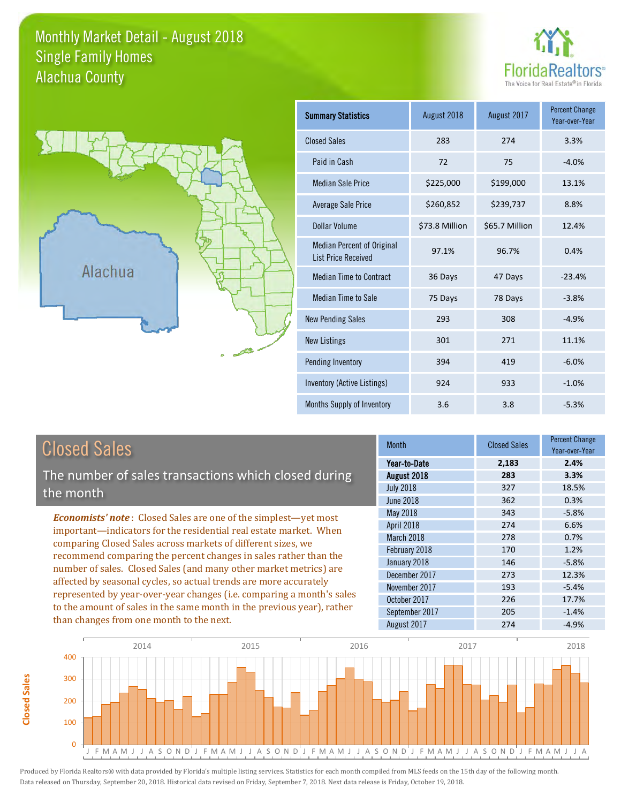### Monthly Market Detail - August 2018 Alachua County Single Family Homes





| <b>Summary Statistics</b>                                       | August 2018    | August 2017    | <b>Percent Change</b><br>Year-over-Year |
|-----------------------------------------------------------------|----------------|----------------|-----------------------------------------|
| <b>Closed Sales</b>                                             | 283            | 274            | 3.3%                                    |
| Paid in Cash                                                    | 72             | 75             | $-4.0%$                                 |
| <b>Median Sale Price</b>                                        | \$225,000      | \$199,000      | 13.1%                                   |
| <b>Average Sale Price</b>                                       | \$260,852      | \$239,737      | 8.8%                                    |
| Dollar Volume                                                   | \$73.8 Million | \$65.7 Million | 12.4%                                   |
| <b>Median Percent of Original</b><br><b>List Price Received</b> | 97.1%          | 96.7%          | 0.4%                                    |
| <b>Median Time to Contract</b>                                  | 36 Days        | 47 Days        | $-23.4%$                                |
| <b>Median Time to Sale</b>                                      | 75 Days        | 78 Days        | $-3.8%$                                 |
| <b>New Pending Sales</b>                                        | 293            | 308            | $-4.9%$                                 |
| <b>New Listings</b>                                             | 301            | 271            | 11.1%                                   |
| Pending Inventory                                               | 394            | 419            | $-6.0%$                                 |
| Inventory (Active Listings)                                     | 924            | 933            | $-1.0%$                                 |
| Months Supply of Inventory                                      | 3.6            | 3.8            | $-5.3%$                                 |

| <b>Closed Sales</b>                                                                                                                                                                                                                                                                                                                                                                                                                                                                                                                            | <b>Month</b>                         | <b>Closed Sales</b> | <b>Percent Change</b><br>Year-over-Year |
|------------------------------------------------------------------------------------------------------------------------------------------------------------------------------------------------------------------------------------------------------------------------------------------------------------------------------------------------------------------------------------------------------------------------------------------------------------------------------------------------------------------------------------------------|--------------------------------------|---------------------|-----------------------------------------|
| The number of sales transactions which closed during                                                                                                                                                                                                                                                                                                                                                                                                                                                                                           | Year-to-Date<br>August 2018          | 2,183<br>283        | 2.4%<br>3.3%                            |
| the month                                                                                                                                                                                                                                                                                                                                                                                                                                                                                                                                      | <b>July 2018</b><br><b>June 2018</b> | 327<br>362          | 18.5%<br>0.3%                           |
| <b>Economists' note:</b> Closed Sales are one of the simplest—yet most                                                                                                                                                                                                                                                                                                                                                                                                                                                                         | May 2018<br><b>April 2018</b>        | 343<br>274          | $-5.8%$<br>6.6%                         |
| important—indicators for the residential real estate market. When<br>comparing Closed Sales across markets of different sizes, we<br>recommend comparing the percent changes in sales rather than the<br>number of sales. Closed Sales (and many other market metrics) are<br>affected by seasonal cycles, so actual trends are more accurately<br>represented by year-over-year changes (i.e. comparing a month's sales<br>to the amount of sales in the same month in the previous year), rather<br>than changes from one month to the next. | March 2018<br>February 2018          | 278<br>170          | 0.7%<br>1.2%                            |
|                                                                                                                                                                                                                                                                                                                                                                                                                                                                                                                                                | January 2018<br>December 2017        | 146<br>273          | $-5.8%$<br>12.3%                        |
|                                                                                                                                                                                                                                                                                                                                                                                                                                                                                                                                                | November 2017                        | 193                 | $-5.4%$                                 |
|                                                                                                                                                                                                                                                                                                                                                                                                                                                                                                                                                | October 2017<br>September 2017       | 226<br>205          | 17.7%<br>$-1.4%$                        |
|                                                                                                                                                                                                                                                                                                                                                                                                                                                                                                                                                | August 2017                          | 274                 | $-4.9%$                                 |



**Closed Sales** 

**Closed Sales**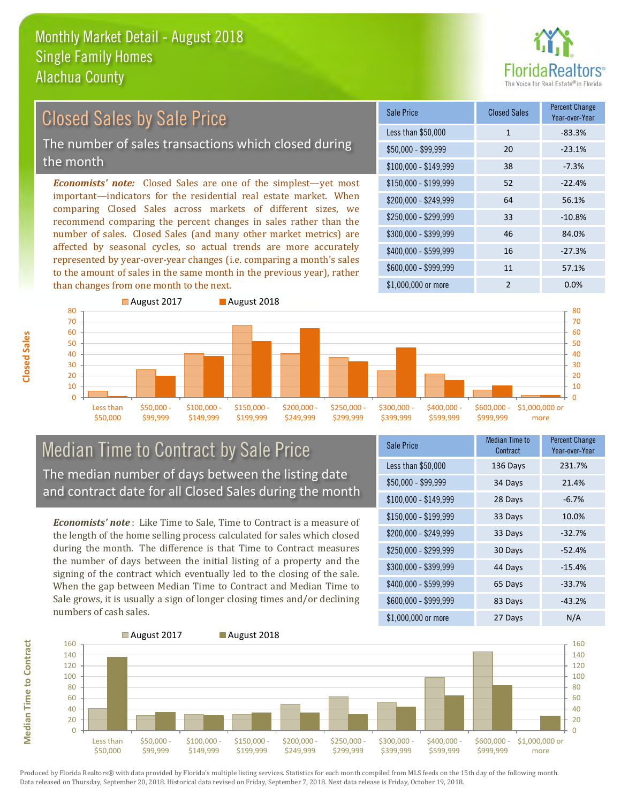

### Closed Sales by Sale Price

The number of sales transactions which closed during the month

*Economists' note:* Closed Sales are one of the simplest—yet most important—indicators for the residential real estate market. When comparing Closed Sales across markets of different sizes, we recommend comparing the percent changes in sales rather than the number of sales. Closed Sales (and many other market metrics) are affected by seasonal cycles, so actual trends are more accurately represented by year-over-year changes (i.e. comparing a month's sales to the amount of sales in the same month in the previous year), rather than changes from one month to the next.

| Sale Price            | <b>Closed Sales</b> | <b>Percent Change</b><br>Year-over-Year |
|-----------------------|---------------------|-----------------------------------------|
| Less than \$50,000    | 1                   | $-83.3%$                                |
| $$50,000 - $99,999$   | 20                  | $-23.1%$                                |
| $$100,000 - $149,999$ | 38                  | $-7.3%$                                 |
| $$150,000 - $199,999$ | 52                  | $-22.4%$                                |
| \$200,000 - \$249,999 | 64                  | 56.1%                                   |
| \$250,000 - \$299,999 | 33                  | $-10.8%$                                |
| \$300,000 - \$399,999 | 46                  | 84.0%                                   |
| \$400,000 - \$599,999 | 16                  | $-27.3%$                                |
| \$600,000 - \$999,999 | 11                  | 57.1%                                   |
| \$1,000,000 or more   | $\mathcal{P}$       | 0.0%                                    |



#### Median Time to Contract by Sale Price The median number of days between the listing date and contract date for all Closed Sales during the month

*Economists' note* : Like Time to Sale, Time to Contract is a measure of the length of the home selling process calculated for sales which closed during the month. The difference is that Time to Contract measures the number of days between the initial listing of a property and the signing of the contract which eventually led to the closing of the sale. When the gap between Median Time to Contract and Median Time to Sale grows, it is usually a sign of longer closing times and/or declining numbers of cash sales.

| <b>Sale Price</b>     | Median Time to<br>Contract | <b>Percent Change</b><br>Year-over-Year |
|-----------------------|----------------------------|-----------------------------------------|
| Less than \$50,000    | 136 Days                   | 231.7%                                  |
| $$50,000 - $99,999$   | 34 Days                    | 21.4%                                   |
| $$100,000 - $149,999$ | 28 Days                    | $-6.7%$                                 |
| \$150,000 - \$199,999 | 33 Days                    | 10.0%                                   |
| \$200,000 - \$249,999 | 33 Days                    | $-32.7%$                                |
| \$250,000 - \$299,999 | 30 Days                    | $-52.4%$                                |
| \$300,000 - \$399,999 | 44 Days                    | $-15.4%$                                |
| \$400,000 - \$599,999 | 65 Days                    | $-33.7%$                                |
| \$600,000 - \$999,999 | 83 Days                    | $-43.2%$                                |
| \$1,000,000 or more   | 27 Days                    | N/A                                     |



Produced by Florida Realtors® with data provided by Florida's multiple listing services. Statistics for each month compiled from MLS feeds on the 15th day of the following month. Data released on Thursday, September 20, 2018. Historical data revised on Friday, September 7, 2018. Next data release is Friday, October 19, 2018.

**Median Time to Contract**

**Median Time to Contract**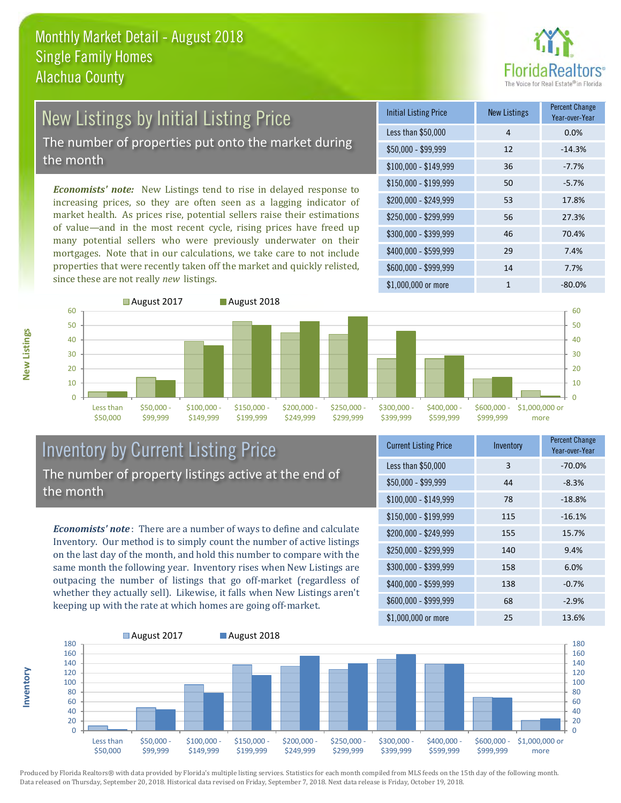

# New Listings by Initial Listing Price

The number of properties put onto the market during the month

*Economists' note:* New Listings tend to rise in delayed response to increasing prices, so they are often seen as a lagging indicator of market health. As prices rise, potential sellers raise their estimations of value—and in the most recent cycle, rising prices have freed up many potential sellers who were previously underwater on their mortgages. Note that in our calculations, we take care to not include properties that were recently taken off the market and quickly relisted, since these are not really *new* listings.





### Inventory by Current Listing Price The number of property listings active at the end of the month

*Economists' note* : There are a number of ways to define and calculate Inventory. Our method is to simply count the number of active listings on the last day of the month, and hold this number to compare with the same month the following year. Inventory rises when New Listings are outpacing the number of listings that go off-market (regardless of whether they actually sell). Likewise, it falls when New Listings aren't keeping up with the rate at which homes are going off-market.

| <b>Current Listing Price</b> | Inventory | Percent Change<br>Year-over-Year |
|------------------------------|-----------|----------------------------------|
| Less than \$50,000           | 3         | $-70.0%$                         |
| $$50,000 - $99,999$          | 44        | $-8.3%$                          |
| $$100,000 - $149,999$        | 78        | $-18.8%$                         |
| $$150,000 - $199,999$        | 115       | $-16.1%$                         |
| \$200,000 - \$249,999        | 155       | 15.7%                            |
| \$250,000 - \$299,999        | 140       | 9.4%                             |
| \$300,000 - \$399,999        | 158       | 6.0%                             |
| \$400,000 - \$599,999        | 138       | $-0.7%$                          |
| \$600,000 - \$999,999        | 68        | $-2.9%$                          |
| \$1,000,000 or more          | 25        | 13.6%                            |



Produced by Florida Realtors® with data provided by Florida's multiple listing services. Statistics for each month compiled from MLS feeds on the 15th day of the following month. Data released on Thursday, September 20, 2018. Historical data revised on Friday, September 7, 2018. Next data release is Friday, October 19, 2018.

**Inventory**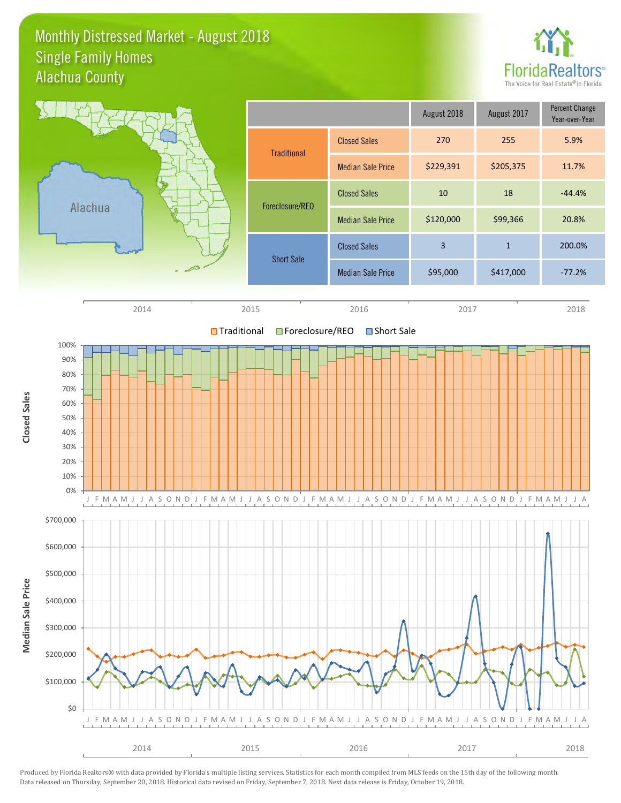### Monthly Distressed Market - August 2018 Alachua County Single Family Homes



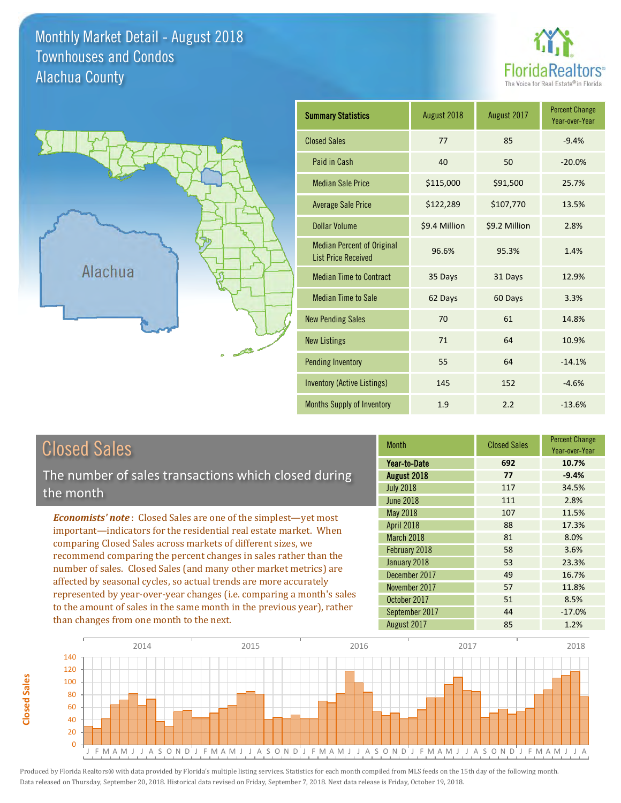### Monthly Market Detail - August 2018 Alachua County Townhouses and Condos





**Closed Sales**

**Closed Sales** 

| <b>Summary Statistics</b>                                       | August 2018   | August 2017   | <b>Percent Change</b><br>Year-over-Year |
|-----------------------------------------------------------------|---------------|---------------|-----------------------------------------|
| <b>Closed Sales</b>                                             | 77            | 85            | $-9.4%$                                 |
| Paid in Cash                                                    | 40            | 50            | $-20.0%$                                |
| <b>Median Sale Price</b>                                        | \$115,000     | \$91,500      | 25.7%                                   |
| <b>Average Sale Price</b>                                       | \$122,289     | \$107,770     | 13.5%                                   |
| <b>Dollar Volume</b>                                            | \$9.4 Million | \$9.2 Million | 2.8%                                    |
| <b>Median Percent of Original</b><br><b>List Price Received</b> | 96.6%         | 95.3%         | 1.4%                                    |
| <b>Median Time to Contract</b>                                  | 35 Days       | 31 Days       | 12.9%                                   |
| <b>Median Time to Sale</b>                                      | 62 Days       | 60 Days       | 3.3%                                    |
| <b>New Pending Sales</b>                                        | 70            | 61            | 14.8%                                   |
| <b>New Listings</b>                                             | 71            | 64            | 10.9%                                   |
| <b>Pending Inventory</b>                                        | 55            | 64            | $-14.1%$                                |
| <b>Inventory (Active Listings)</b>                              | 145           | 152           | $-4.6%$                                 |
| <b>Months Supply of Inventory</b>                               | 1.9           | 2.2           | $-13.6%$                                |

| <b>Closed Sales</b>                                                    | <b>Month</b>      | <b>Closed Sales</b> | <b>Percent Change</b><br>Year-over-Year |
|------------------------------------------------------------------------|-------------------|---------------------|-----------------------------------------|
|                                                                        | Year-to-Date      | 692                 | 10.7%                                   |
| The number of sales transactions which closed during                   | August 2018       | 77                  | $-9.4%$                                 |
| the month                                                              | <b>July 2018</b>  | 117                 | 34.5%                                   |
|                                                                        | <b>June 2018</b>  | 111                 | 2.8%                                    |
| <b>Economists' note:</b> Closed Sales are one of the simplest—yet most | May 2018          | 107                 | 11.5%                                   |
| important—indicators for the residential real estate market. When      | <b>April 2018</b> | 88                  | 17.3%                                   |
| comparing Closed Sales across markets of different sizes, we           | March 2018        | 81                  | 8.0%                                    |
| recommend comparing the percent changes in sales rather than the       | February 2018     | 58                  | 3.6%                                    |
| number of sales. Closed Sales (and many other market metrics) are      | January 2018      | 53                  | 23.3%                                   |
|                                                                        | December 2017     | 49                  | 16.7%                                   |
| affected by seasonal cycles, so actual trends are more accurately      | November 2017     | 57                  | 11.8%                                   |
| represented by year-over-year changes (i.e. comparing a month's sales  | October 2017      | 51                  | 8.5%                                    |
| to the amount of sales in the same month in the previous year), rather | September 2017    | 44                  | $-17.0%$                                |
| than changes from one month to the next.                               | August 2017       | 85                  | 1.2%                                    |

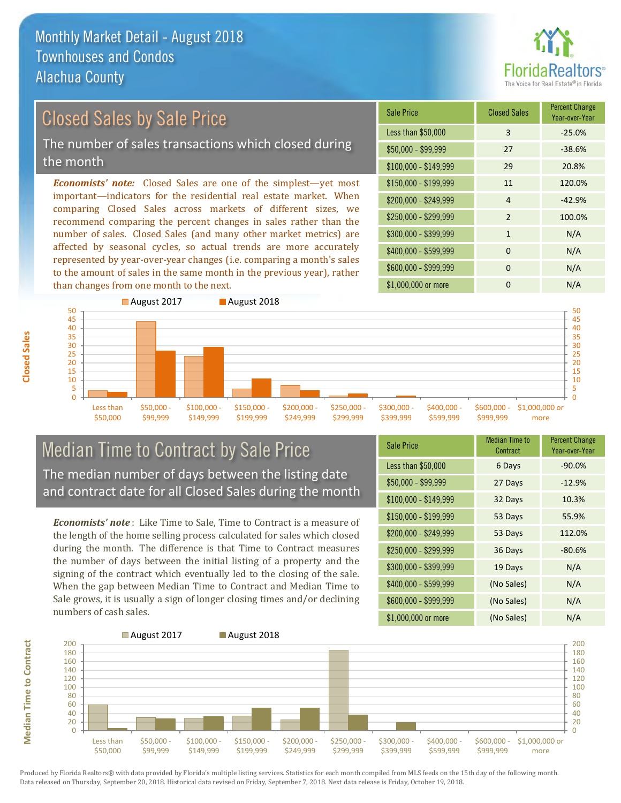

0 5

20 25 30

#### *Economists' note:* Closed Sales are one of the simplest—yet most important—indicators for the residential real estate market. When comparing Closed Sales across markets of different sizes, we recommend comparing the percent changes in sales rather than the \$250,000 - \$299,999 2 100.0%  $$300,000 - $399,999$  1 N/A  $$150,000 - $199,999$  11 120.0%  $$200,000 - $249,999$  4  $-42.9\%$ \$100,000 - \$149,999 29 20.8% Sale Price Closed Sales Percent Change Year-over-Year Less than \$50,000 3 -25.0% \$50,000 - \$99,999 27 -38.6% Closed Sales by Sale Price The number of sales transactions which closed during the month

number of sales. Closed Sales (and many other market metrics) are affected by seasonal cycles, so actual trends are more accurately represented by year-over-year changes (i.e. comparing a month's sales to the amount of sales in the same month in the previous year), rather than changes from one month to the next.



### Median Time to Contract by Sale Price The median number of days between the listing date and contract date for all Closed Sales during the month

*Economists' note* : Like Time to Sale, Time to Contract is a measure of the length of the home selling process calculated for sales which closed during the month. The difference is that Time to Contract measures the number of days between the initial listing of a property and the signing of the contract which eventually led to the closing of the sale. When the gap between Median Time to Contract and Median Time to Sale grows, it is usually a sign of longer closing times and/or declining numbers of cash sales.

| <b>Sale Price</b>     | <b>Median Time to</b><br>Contract | <b>Percent Change</b><br>Year-over-Year |
|-----------------------|-----------------------------------|-----------------------------------------|
| Less than \$50,000    | 6 Days                            | $-90.0%$                                |
| \$50,000 - \$99,999   | 27 Days                           | $-12.9%$                                |
| $$100,000 - $149,999$ | 32 Days                           | 10.3%                                   |
| \$150,000 - \$199,999 | 53 Days                           | 55.9%                                   |
| \$200,000 - \$249,999 | 53 Days                           | 112.0%                                  |
| \$250,000 - \$299,999 | 36 Days                           | $-80.6%$                                |
| \$300,000 - \$399,999 | 19 Days                           | N/A                                     |
| \$400,000 - \$599,999 | (No Sales)                        | N/A                                     |
| \$600,000 - \$999,999 | (No Sales)                        | N/A                                     |
| \$1,000,000 or more   | (No Sales)                        | N/A                                     |

\$400,000 - \$599,999 0 0 N/A



Produced by Florida Realtors® with data provided by Florida's multiple listing services. Statistics for each month compiled from MLS feeds on the 15th day of the following month. Data released on Thursday, September 20, 2018. Historical data revised on Friday, September 7, 2018. Next data release is Friday, October 19, 2018.

**Median Time to Contract**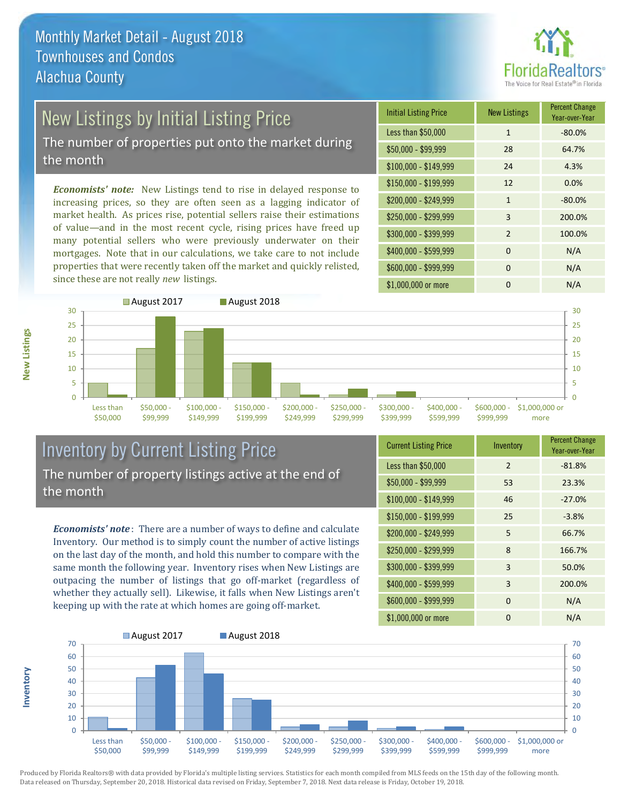

## New Listings by Initial Listing Price

The number of properties put onto the market during the month

*Economists' note:* New Listings tend to rise in delayed response to increasing prices, so they are often seen as a lagging indicator of market health. As prices rise, potential sellers raise their estimations of value—and in the most recent cycle, rising prices have freed up many potential sellers who were previously underwater on their mortgages. Note that in our calculations, we take care to not include properties that were recently taken off the market and quickly relisted, since these are not really *new* listings.

| <b>Initial Listing Price</b> | <b>New Listings</b> | <b>Percent Change</b><br>Year-over-Year |
|------------------------------|---------------------|-----------------------------------------|
| Less than \$50,000           | $\mathbf{1}$        | $-80.0%$                                |
| $$50,000 - $99,999$          | 28                  | 64.7%                                   |
| $$100,000 - $149,999$        | 24                  | 4.3%                                    |
| $$150,000 - $199,999$        | 12                  | 0.0%                                    |
| \$200,000 - \$249,999        | $\mathbf{1}$        | $-80.0%$                                |
| \$250,000 - \$299,999        | 3                   | 200.0%                                  |
| \$300,000 - \$399,999        | $\overline{2}$      | 100.0%                                  |
| \$400,000 - \$599,999        | $\Omega$            | N/A                                     |
| \$600,000 - \$999,999        | $\Omega$            | N/A                                     |
| \$1,000,000 or more          | O                   | N/A                                     |



### Inventory by Current Listing Price The number of property listings active at the end of the month

*Economists' note* : There are a number of ways to define and calculate Inventory. Our method is to simply count the number of active listings on the last day of the month, and hold this number to compare with the same month the following year. Inventory rises when New Listings are outpacing the number of listings that go off-market (regardless of whether they actually sell). Likewise, it falls when New Listings aren't keeping up with the rate at which homes are going off-market.

**Inventory**

**New Listings**

| <b>Current Listing Price</b> | Inventory | <b>Percent Change</b><br>Year-over-Year |
|------------------------------|-----------|-----------------------------------------|
| Less than \$50,000           | 2         | $-81.8%$                                |
| $$50,000 - $99,999$          | 53        | 23.3%                                   |
| $$100,000 - $149,999$        | 46        | $-27.0%$                                |
| $$150,000 - $199,999$        | 25        | $-3.8%$                                 |
| \$200,000 - \$249,999        | 5         | 66.7%                                   |
| \$250,000 - \$299,999        | 8         | 166.7%                                  |
| \$300,000 - \$399,999        | 3         | 50.0%                                   |
| \$400,000 - \$599,999        | 3         | 200.0%                                  |
| \$600,000 - \$999,999        | $\Omega$  | N/A                                     |
| \$1,000,000 or more          | 0         | N/A                                     |

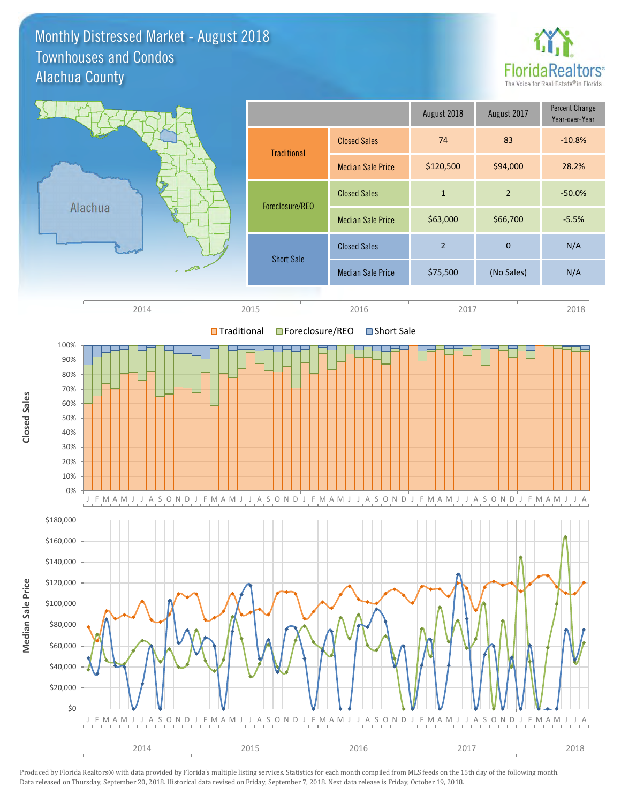### Monthly Distressed Market - August 2018 Alachua County Townhouses and Condos



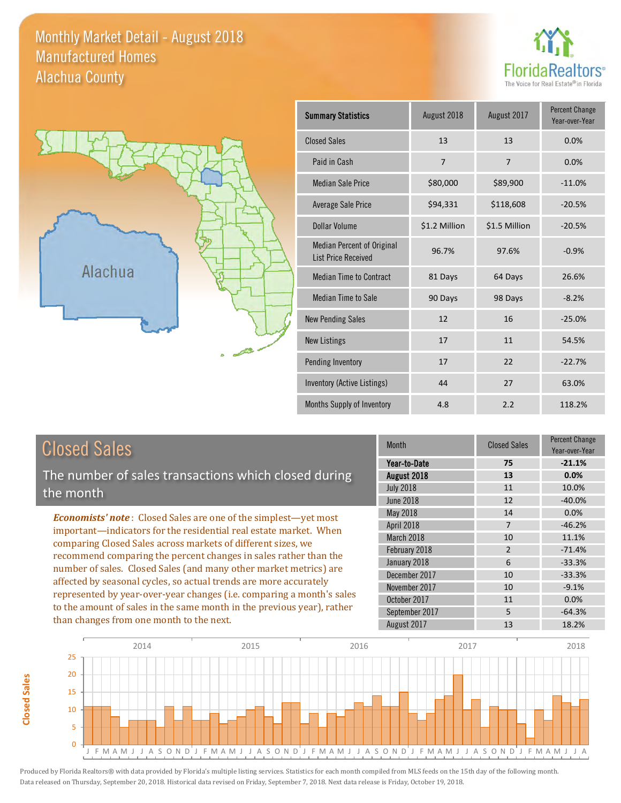### Monthly Market Detail - August 2018 Alachua County Manufactured Homes





| <b>Summary Statistics</b>                                       | August 2018    | August 2017    | <b>Percent Change</b><br>Year-over-Year |
|-----------------------------------------------------------------|----------------|----------------|-----------------------------------------|
| <b>Closed Sales</b>                                             | 13             | 13             | 0.0%                                    |
| Paid in Cash                                                    | $\overline{7}$ | $\overline{7}$ | 0.0%                                    |
| <b>Median Sale Price</b>                                        | \$80,000       | \$89,900       | $-11.0%$                                |
| Average Sale Price                                              | \$94,331       | \$118,608      | $-20.5%$                                |
| Dollar Volume                                                   | \$1.2 Million  | \$1.5 Million  | $-20.5%$                                |
| <b>Median Percent of Original</b><br><b>List Price Received</b> | 96.7%          | 97.6%          | $-0.9%$                                 |
| <b>Median Time to Contract</b>                                  | 81 Days        | 64 Days        | 26.6%                                   |
| <b>Median Time to Sale</b>                                      | 90 Days        | 98 Days        | $-8.2%$                                 |
| <b>New Pending Sales</b>                                        | 12             | 16             | $-25.0%$                                |
| <b>New Listings</b>                                             | 17             | 11             | 54.5%                                   |
| <b>Pending Inventory</b>                                        | 17             | 22             | $-22.7%$                                |
| Inventory (Active Listings)                                     | 44             | 27             | 63.0%                                   |
| Months Supply of Inventory                                      | 4.8            | 2.2            | 118.2%                                  |

| <b>Closed Sales</b>                                                                                                                                                                                                                                                                                                                                                                                                           | <b>Month</b>                  | <b>Closed Sales</b>  | <b>Percent Change</b><br>Year-over-Year |
|-------------------------------------------------------------------------------------------------------------------------------------------------------------------------------------------------------------------------------------------------------------------------------------------------------------------------------------------------------------------------------------------------------------------------------|-------------------------------|----------------------|-----------------------------------------|
| The number of sales transactions which closed during                                                                                                                                                                                                                                                                                                                                                                          | Year-to-Date                  | 75                   | $-21.1%$                                |
|                                                                                                                                                                                                                                                                                                                                                                                                                               | August 2018                   | 13                   | 0.0%                                    |
| the month                                                                                                                                                                                                                                                                                                                                                                                                                     | <b>July 2018</b>              | 11                   | 10.0%                                   |
|                                                                                                                                                                                                                                                                                                                                                                                                                               | <b>June 2018</b>              | 12                   | $-40.0%$                                |
| <b>Economists' note:</b> Closed Sales are one of the simplest—yet most                                                                                                                                                                                                                                                                                                                                                        | May 2018                      | 14                   | 0.0%                                    |
| important-indicators for the residential real estate market. When                                                                                                                                                                                                                                                                                                                                                             | April 2018                    | $\overline{7}$       | $-46.2%$                                |
| comparing Closed Sales across markets of different sizes, we<br>recommend comparing the percent changes in sales rather than the<br>number of sales. Closed Sales (and many other market metrics) are<br>affected by seasonal cycles, so actual trends are more accurately<br>represented by year-over-year changes (i.e. comparing a month's sales<br>to the amount of sales in the same month in the previous year), rather | March 2018<br>February 2018   | 10<br>$\overline{2}$ | 11.1%<br>$-71.4%$                       |
|                                                                                                                                                                                                                                                                                                                                                                                                                               | January 2018<br>December 2017 | 6<br>10              | $-33.3%$<br>$-33.3%$                    |
|                                                                                                                                                                                                                                                                                                                                                                                                                               | November 2017<br>October 2017 | 10<br>11             | $-9.1%$<br>0.0%                         |
| than changes from one month to the next.                                                                                                                                                                                                                                                                                                                                                                                      | September 2017                | 5                    | $-64.3%$                                |
|                                                                                                                                                                                                                                                                                                                                                                                                                               | August 2017                   | 13                   | 18.2%                                   |



**Closed Sales**

**Closed Sales**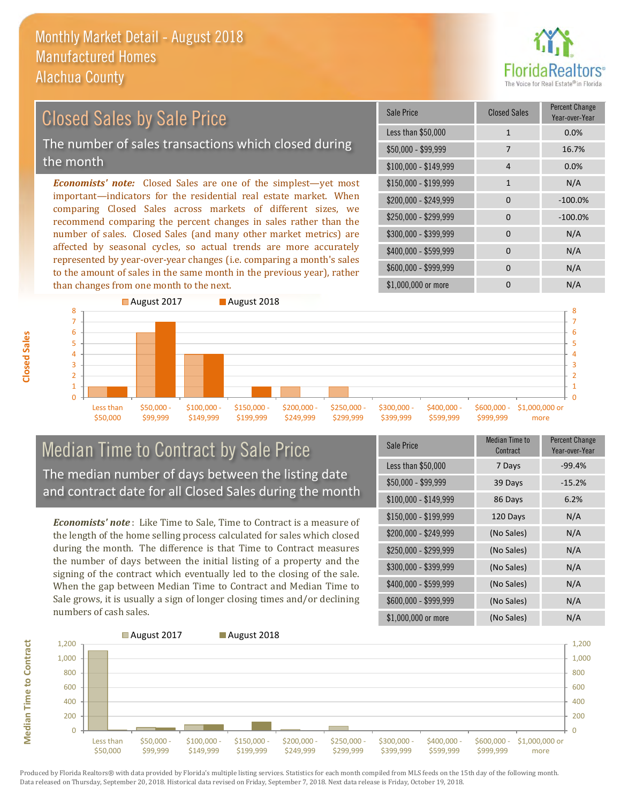

### Closed Sales by Sale Price

The number of sales transactions which closed during the month

*Economists' note:* Closed Sales are one of the simplest—yet most important—indicators for the residential real estate market. When comparing Closed Sales across markets of different sizes, we recommend comparing the percent changes in sales rather than the number of sales. Closed Sales (and many other market metrics) are affected by seasonal cycles, so actual trends are more accurately represented by year-over-year changes (i.e. comparing a month's sales to the amount of sales in the same month in the previous year), rather than changes from one month to the next.

| Sale Price            | <b>Closed Sales</b> | <b>Percent Change</b><br>Year-over-Year |
|-----------------------|---------------------|-----------------------------------------|
| Less than \$50,000    | $\mathbf{1}$        | 0.0%                                    |
| $$50,000 - $99,999$   | 7                   | 16.7%                                   |
| $$100,000 - $149,999$ | 4                   | 0.0%                                    |
| \$150,000 - \$199,999 | $\mathbf{1}$        | N/A                                     |
| \$200,000 - \$249,999 | $\Omega$            | $-100.0%$                               |
| \$250,000 - \$299,999 | 0                   | $-100.0%$                               |
| \$300,000 - \$399,999 | $\Omega$            | N/A                                     |
| \$400,000 - \$599,999 | 0                   | N/A                                     |
| \$600,000 - \$999,999 | $\Omega$            | N/A                                     |
| \$1,000,000 or more   | n                   | N/A                                     |



Median Time to Contract by Sale Price The median number of days between the listing date and contract date for all Closed Sales during the month

*Economists' note* : Like Time to Sale, Time to Contract is a measure of the length of the home selling process calculated for sales which closed during the month. The difference is that Time to Contract measures the number of days between the initial listing of a property and the signing of the contract which eventually led to the closing of the sale. When the gap between Median Time to Contract and Median Time to Sale grows, it is usually a sign of longer closing times and/or declining numbers of cash sales.

| Sale Price            | <b>Median Time to</b><br>Contract | <b>Percent Change</b><br>Year-over-Year |
|-----------------------|-----------------------------------|-----------------------------------------|
| Less than \$50,000    | 7 Days                            | $-99.4%$                                |
| \$50,000 - \$99,999   | 39 Days                           | $-15.2%$                                |
| $$100,000 - $149,999$ | 86 Days                           | 6.2%                                    |
| $$150,000 - $199,999$ | 120 Days                          | N/A                                     |
| \$200,000 - \$249,999 | (No Sales)                        | N/A                                     |
| \$250,000 - \$299,999 | (No Sales)                        | N/A                                     |
| \$300,000 - \$399,999 | (No Sales)                        | N/A                                     |
| \$400,000 - \$599,999 | (No Sales)                        | N/A                                     |
| \$600,000 - \$999,999 | (No Sales)                        | N/A                                     |
| \$1,000,000 or more   | (No Sales)                        | N/A                                     |



Produced by Florida Realtors® with data provided by Florida's multiple listing services. Statistics for each month compiled from MLS feeds on the 15th day of the following month. Data released on Thursday, September 20, 2018. Historical data revised on Friday, September 7, 2018. Next data release is Friday, October 19, 2018.

**Median Time to Contract**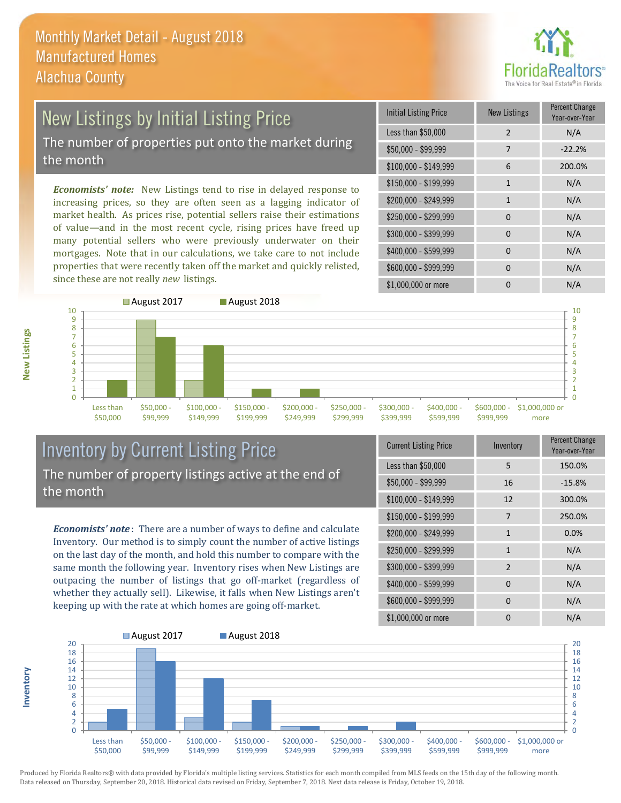

# New Listings by Initial Listing Price

The number of properties put onto the market during the month

*Economists' note:* New Listings tend to rise in delayed response to increasing prices, so they are often seen as a lagging indicator of market health. As prices rise, potential sellers raise their estimations of value—and in the most recent cycle, rising prices have freed up many potential sellers who were previously underwater on their mortgages. Note that in our calculations, we take care to not include properties that were recently taken off the market and quickly relisted, since these are not really *new* listings.

| <b>Initial Listing Price</b> | <b>New Listings</b> | <b>Percent Change</b><br>Year-over-Year |
|------------------------------|---------------------|-----------------------------------------|
| Less than \$50,000           | $\overline{2}$      | N/A                                     |
| \$50,000 - \$99,999          | 7                   | $-22.2%$                                |
| $$100,000 - $149,999$        | 6                   | 200.0%                                  |
| \$150,000 - \$199,999        | $\mathbf{1}$        | N/A                                     |
| \$200,000 - \$249,999        | $\mathbf{1}$        | N/A                                     |
| \$250,000 - \$299,999        | $\Omega$            | N/A                                     |
| \$300,000 - \$399,999        | $\Omega$            | N/A                                     |
| \$400,000 - \$599,999        | 0                   | N/A                                     |
| \$600,000 - \$999,999        | 0                   | N/A                                     |
| \$1,000,000 or more          | n                   | N/A                                     |



### Inventory by Current Listing Price The number of property listings active at the end of the month

*Economists' note* : There are a number of ways to define and calculate Inventory. Our method is to simply count the number of active listings on the last day of the month, and hold this number to compare with the same month the following year. Inventory rises when New Listings are outpacing the number of listings that go off-market (regardless of whether they actually sell). Likewise, it falls when New Listings aren't keeping up with the rate at which homes are going off-market.

| <b>Current Listing Price</b> | Inventory      | Percent Change<br>Year-over-Year |
|------------------------------|----------------|----------------------------------|
| Less than \$50,000           | 5              | 150.0%                           |
| $$50,000 - $99,999$          | 16             | $-15.8%$                         |
| $$100,000 - $149,999$        | 12             | 300.0%                           |
| $$150,000 - $199,999$        | 7              | 250.0%                           |
| \$200,000 - \$249,999        | $\mathbf{1}$   | 0.0%                             |
| \$250,000 - \$299,999        | 1              | N/A                              |
| \$300,000 - \$399,999        | $\overline{2}$ | N/A                              |
| \$400,000 - \$599,999        | 0              | N/A                              |
| \$600,000 - \$999,999        | 0              | N/A                              |
| \$1,000,000 or more          | 0              | N/A                              |



Produced by Florida Realtors® with data provided by Florida's multiple listing services. Statistics for each month compiled from MLS feeds on the 15th day of the following month. Data released on Thursday, September 20, 2018. Historical data revised on Friday, September 7, 2018. Next data release is Friday, October 19, 2018.

**Inventory**